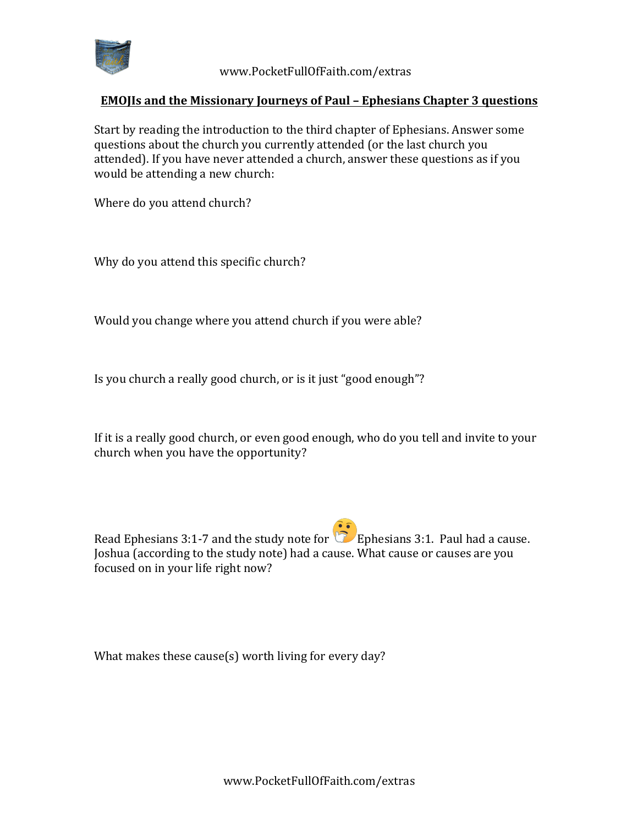

 www.PocketFullOfFaith.com/extras

## **EMOJIs** and the Missionary Journeys of Paul – Ephesians Chapter 3 questions

Start by reading the introduction to the third chapter of Ephesians. Answer some questions about the church you currently attended (or the last church you attended). If you have never attended a church, answer these questions as if you would be attending a new church:

Where do you attend church?

Why do you attend this specific church?

Would you change where you attend church if you were able?

Is you church a really good church, or is it just "good enough"?

If it is a really good church, or even good enough, who do you tell and invite to your church when you have the opportunity?

Read Ephesians 3:1-7 and the study note for **E** Ephesians 3:1. Paul had a cause. Joshua (according to the study note) had a cause. What cause or causes are you focused on in your life right now?

What makes these cause(s) worth living for every day?